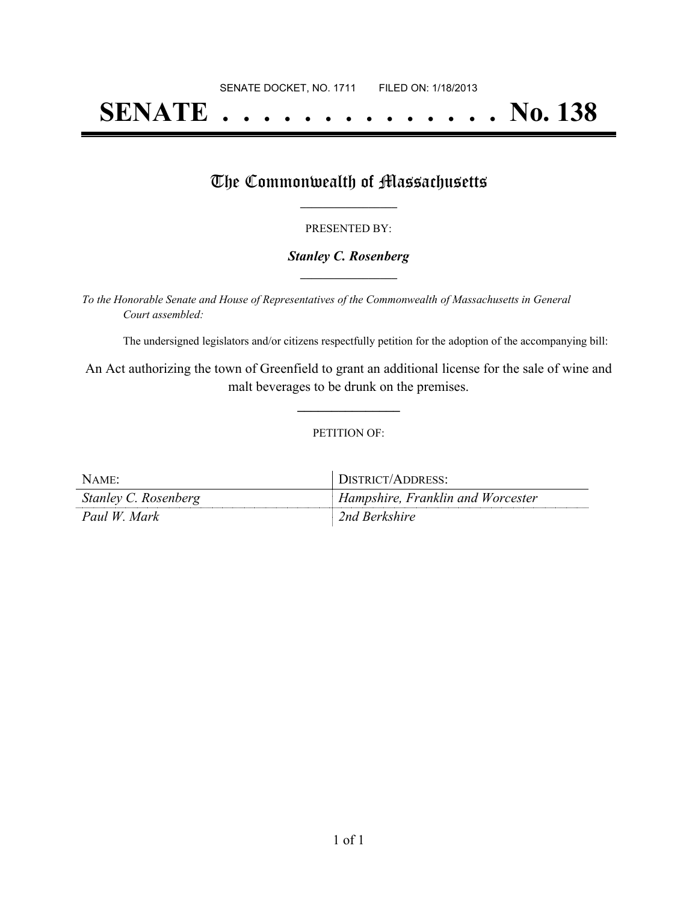# **SENATE . . . . . . . . . . . . . . No. 138**

## The Commonwealth of Massachusetts

#### PRESENTED BY:

#### *Stanley C. Rosenberg* **\_\_\_\_\_\_\_\_\_\_\_\_\_\_\_\_\_**

*To the Honorable Senate and House of Representatives of the Commonwealth of Massachusetts in General Court assembled:*

The undersigned legislators and/or citizens respectfully petition for the adoption of the accompanying bill:

An Act authorizing the town of Greenfield to grant an additional license for the sale of wine and malt beverages to be drunk on the premises.

**\_\_\_\_\_\_\_\_\_\_\_\_\_\_\_**

#### PETITION OF:

| NAME:                | DISTRICT/ADDRESS:                 |
|----------------------|-----------------------------------|
| Stanley C. Rosenberg | Hampshire, Franklin and Worcester |
| Paul W. Mark         | 2nd Berkshire                     |